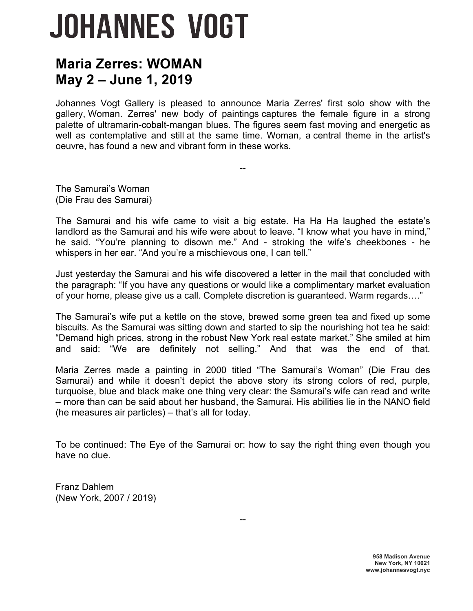## **JOHANNES VOGT**

## **Maria Zerres: WOMAN May 2 – June 1, 2019**

Johannes Vogt Gallery is pleased to announce Maria Zerres' first solo show with the gallery, Woman. Zerres' new body of paintings captures the female figure in a strong palette of ultramarin-cobalt-mangan blues. The figures seem fast moving and energetic as well as contemplative and still at the same time. Woman, a central theme in the artist's oeuvre, has found a new and vibrant form in these works.

--

The Samurai's Woman (Die Frau des Samurai)

The Samurai and his wife came to visit a big estate. Ha Ha Ha laughed the estate's landlord as the Samurai and his wife were about to leave. "I know what you have in mind," he said. "You're planning to disown me." And - stroking the wife's cheekbones - he whispers in her ear. "And you're a mischievous one, I can tell."

Just yesterday the Samurai and his wife discovered a letter in the mail that concluded with the paragraph: "If you have any questions or would like a complimentary market evaluation of your home, please give us a call. Complete discretion is guaranteed. Warm regards…."

The Samurai's wife put a kettle on the stove, brewed some green tea and fixed up some biscuits. As the Samurai was sitting down and started to sip the nourishing hot tea he said: "Demand high prices, strong in the robust New York real estate market." She smiled at him and said: "We are definitely not selling." And that was the end of that.

Maria Zerres made a painting in 2000 titled "The Samurai's Woman" (Die Frau des Samurai) and while it doesn't depict the above story its strong colors of red, purple, turquoise, blue and black make one thing very clear: the Samurai's wife can read and write – more than can be said about her husband, the Samurai. His abilities lie in the NANO field (he measures air particles) – that's all for today.

To be continued: The Eye of the Samurai or: how to say the right thing even though you have no clue.

--

Franz Dahlem (New York, 2007 / 2019)